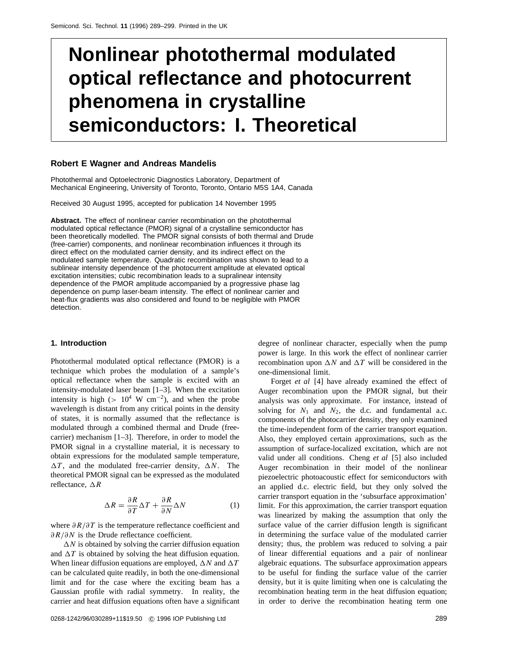# **Nonlinear photothermal modulated optical reflectance and photocurrent phenomena in crystalline semiconductors: I. Theoretical**

#### **Robert E Wagner and Andreas Mandelis**

Photothermal and Optoelectronic Diagnostics Laboratory, Department of Mechanical Engineering, University of Toronto, Toronto, Ontario M5S 1A4, Canada

Received 30 August 1995, accepted for publication 14 November 1995

**Abstract.** The effect of nonlinear carrier recombination on the photothermal modulated optical reflectance (PMOR) signal of a crystalline semiconductor has been theoretically modelled. The PMOR signal consists of both thermal and Drude (free-carrier) components, and nonlinear recombination influences it through its direct effect on the modulated carrier density, and its indirect effect on the modulated sample temperature. Quadratic recombination was shown to lead to a sublinear intensity dependence of the photocurrent amplitude at elevated optical excitation intensities; cubic recombination leads to a supralinear intensity dependence of the PMOR amplitude accompanied by a progressive phase lag dependence on pump laser-beam intensity. The effect of nonlinear carrier and heat-flux gradients was also considered and found to be negligible with PMOR detection.

# **1. Introduction**

Photothermal modulated optical reflectance (PMOR) is a technique which probes the modulation of a sample's optical reflectance when the sample is excited with an intensity-modulated laser beam [1–3]. When the excitation intensity is high ( $> 10^4$  W cm<sup>-2</sup>), and when the probe wavelength is distant from any critical points in the density of states, it is normally assumed that the reflectance is modulated through a combined thermal and Drude (freecarrier) mechanism [1–3]. Therefore, in order to model the PMOR signal in a crystalline material, it is necessary to obtain expressions for the modulated sample temperature,  $\Delta T$ , and the modulated free-carrier density,  $\Delta N$ . The theoretical PMOR signal can be expressed as the modulated reflectance,  $\Delta R$ 

$$
\Delta R = \frac{\partial R}{\partial T} \Delta T + \frac{\partial R}{\partial N} \Delta N \tag{1}
$$

where *∂R/∂T* is the temperature reflectance coefficient and *∂R/∂N* is the Drude reflectance coefficient.

 $\Delta N$  is obtained by solving the carrier diffusion equation and  $\Delta T$  is obtained by solving the heat diffusion equation. When linear diffusion equations are employed,  $\Delta N$  and  $\Delta T$ can be calculated quite readily, in both the one-dimensional limit and for the case where the exciting beam has a Gaussian profile with radial symmetry. In reality, the carrier and heat diffusion equations often have a significant degree of nonlinear character, especially when the pump power is large. In this work the effect of nonlinear carrier recombination upon  $\Delta N$  and  $\Delta T$  will be considered in the one-dimensional limit.

Forget *et al* [4] have already examined the effect of Auger recombination upon the PMOR signal, but their analysis was only approximate. For instance, instead of solving for  $N_1$  and  $N_2$ , the d.c. and fundamental a.c. components of the photocarrier density, they only examined the time-independent form of the carrier transport equation. Also, they employed certain approximations, such as the assumption of surface-localized excitation, which are not valid under all conditions. Cheng *et al* [5] also included Auger recombination in their model of the nonlinear piezoelectric photoacoustic effect for semiconductors with an applied d.c. electric field, but they only solved the carrier transport equation in the 'subsurface approximation' limit. For this approximation, the carrier transport equation was linearized by making the assumption that only the surface value of the carrier diffusion length is significant in determining the surface value of the modulated carrier density; thus, the problem was reduced to solving a pair of linear differential equations and a pair of nonlinear algebraic equations. The subsurface approximation appears to be useful for finding the surface value of the carrier density, but it is quite limiting when one is calculating the recombination heating term in the heat diffusion equation; in order to derive the recombination heating term one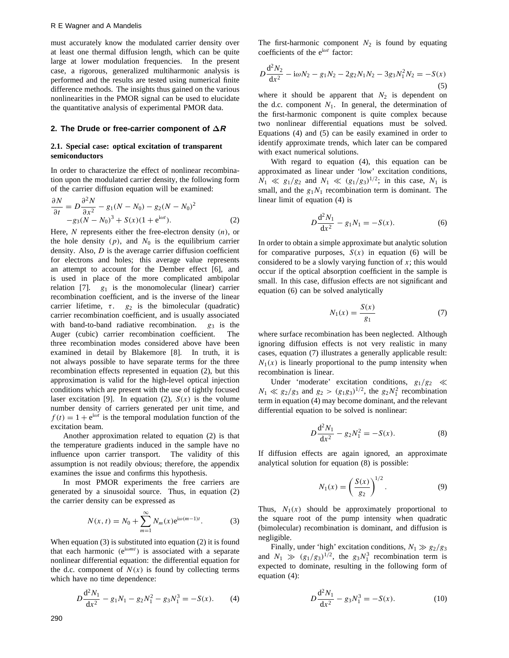must accurately know the modulated carrier density over at least one thermal diffusion length, which can be quite large at lower modulation frequencies. In the present case, a rigorous, generalized multiharmonic analysis is performed and the results are tested using numerical finite difference methods. The insights thus gained on the various nonlinearities in the PMOR signal can be used to elucidate the quantitative analysis of experimental PMOR data.

#### **2. The Drude or free-carrier component of ∆R**

# **2.1. Special case: optical excitation of transparent semiconductors**

In order to characterize the effect of nonlinear recombination upon the modulated carrier density, the following form of the carrier diffusion equation will be examined:

$$
\frac{\partial N}{\partial t} = D \frac{\partial^2 N}{\partial x^2} - g_1 (N - N_0) - g_2 (N - N_0)^2
$$
  
-g<sub>3</sub>(N - N<sub>0</sub>)<sup>3</sup> + S(x)(1 + e<sup>i\omega t</sup>). (2)

Here, N represents either the free-electron density  $(n)$ , or<br>the hole density  $(n)$  and  $N_0$  is the equilibrium carrier the hole density  $(p)$ , and  $N_0$  is the equilibrium carrier density. Also, *D* is the average carrier diffusion coefficient for electrons and holes; this average value represents an attempt to account for the Dember effect [6], and is used in place of the more complicated ambipolar relation  $[7]$ .  $g_1$  is the monomolecular (linear) carrier recombination coefficient, and is the inverse of the linear carrier lifetime,  $\tau$ .  $g_2$  is the bimolecular (quadratic) carrier recombination coefficient, and is usually associated with band-to-band radiative recombination.  $g_3$  is the Auger (cubic) carrier recombination coefficient. The Auger (cubic) carrier recombination coefficient. three recombination modes considered above have been examined in detail by Blakemore [8]. In truth, it is not always possible to have separate terms for the three recombination effects represented in equation (2), but this approximation is valid for the high-level optical injection conditions which are present with the use of tightly focused laser excitation [9]. In equation (2),  $S(x)$  is the volume number density of carriers generated per unit time, and  $f(t) = 1 + e^{i\omega t}$  is the temporal modulation function of the excitation beam.

Another approximation related to equation (2) is that the temperature gradients induced in the sample have no influence upon carrier transport. The validity of this assumption is not readily obvious; therefore, the appendix examines the issue and confirms this hypothesis.

In most PMOR experiments the free carriers are generated by a sinusoidal source. Thus, in equation (2) the carrier density can be expressed as

$$
N(x,t) = N_0 + \sum_{m=1}^{\infty} N_m(x) e^{i\omega(m-1)t}.
$$
 (3)

When equation (3) is substituted into equation (2) it is found that each harmonic ( $e^{i\omega mt}$ ) is associated with a separate nonlinear differential equation: the differential equation for the d.c. component of  $N(x)$  is found by collecting terms which have no time dependence:

$$
D\frac{\mathrm{d}^2 N_1}{\mathrm{d}x^2} - g_1 N_1 - g_2 N_1^2 - g_3 N_1^3 = -S(x). \tag{4}
$$

The first-harmonic component  $N_2$  is found by equating coefficients of the e<sup>i</sup>*ωt* factor:

$$
D\frac{\mathrm{d}^2 N_2}{\mathrm{d}x^2} - \mathrm{i}\omega N_2 - g_1 N_2 - 2g_2 N_1 N_2 - 3g_3 N_1^2 N_2 = -S(x) \tag{5}
$$

where it should be apparent that  $N_2$  is dependent on the d.c. component  $N_1$ . In general, the determination of the first-harmonic component is quite complex because two nonlinear differential equations must be solved. Equations (4) and (5) can be easily examined in order to identify approximate trends, which later can be compared with exact numerical solutions.

With regard to equation (4), this equation can be approximated as linear under 'low' excitation conditions,  $N_1 \ll g_1/g_2$  and  $N_1 \ll (g_1/g_3)^{1/2}$ ; in this case,  $N_1$  is small, and the  $g_1N_1$  recombination term is dominant. The linear limit of equation (4) is

$$
D\frac{\mathrm{d}^2 N_1}{\mathrm{d}x^2} - g_1 N_1 = -S(x). \tag{6}
$$

In order to obtain a simple approximate but analytic solution for comparative purposes,  $S(x)$  in equation (6) will be considered to be a slowly varying function of *x*; this would occur if the optical absorption coefficient in the sample is small. In this case, diffusion effects are not significant and equation (6) can be solved analytically

$$
N_1(x) = \frac{S(x)}{g_1} \tag{7}
$$

where surface recombination has been neglected. Although ignoring diffusion effects is not very realistic in many cases, equation (7) illustrates a generally applicable result:  $N_1(x)$  is linearly proportional to the pump intensity when recombination is linear.

Under 'moderate' excitation conditions,  $g_1/g_2 \ll$ <br> $\ll g_2/g_2$  and  $g_2 \gtrsim (g_2 g_2)^{1/2}$  the  $g_2 N^2$  recombination  $N_1 \ll g_2/g_3$  and  $g_2 > (g_1g_3)^{1/2}$ , the  $g_2N_1^2$  recombination<br>term in equation (A) may become dominant, and the relevant term in equation (4) may become dominant, and the relevant differential equation to be solved is nonlinear:

$$
D\frac{d^2 N_1}{dx^2} - g_2 N_1^2 = -S(x).
$$
 (8)

If diffusion effects are again ignored, an approximate analytical solution for equation (8) is possible:

$$
N_1(x) = \left(\frac{S(x)}{g_2}\right)^{1/2}.
$$
 (9)

Thus,  $N_1(x)$  should be approximately proportional to the square root of the pump intensity when quadratic (bimolecular) recombination is dominant, and diffusion is negligible.

Finally, under 'high' excitation conditions,  $N_1 \gg g_2/g_3$ and  $N_1 \gg (g_1/g_3)^{1/2}$ , the  $g_3N_1^3$  recombination term is<br>expected to dominate resulting in the following form of expected to dominate, resulting in the following form of equation (4):

$$
D\frac{d^2 N_1}{dx^2} - g_3 N_1^3 = -S(x). \tag{10}
$$

290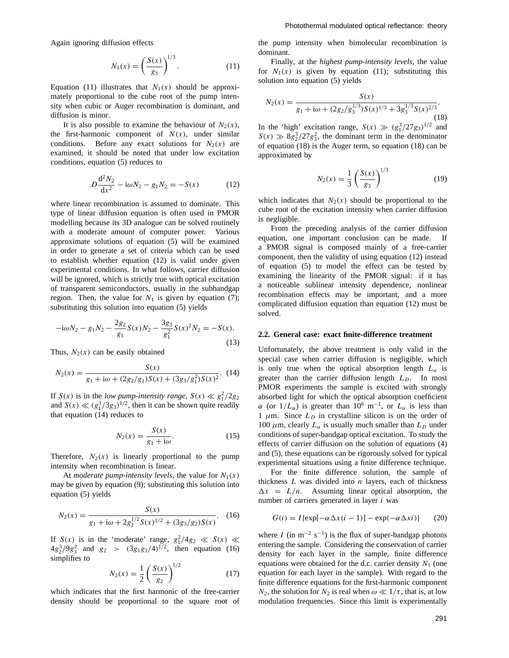Again ignoring diffusion effects

$$
N_1(x) = \left(\frac{S(x)}{g_3}\right)^{1/3}.
$$
 (11)

Equation (11) illustrates that  $N_1(x)$  should be approximately proportional to the cube root of the pump intensity when cubic or Auger recombination is dominant, and diffusion is minor.

It is also possible to examine the behaviour of  $N_2(x)$ , the first-harmonic component of  $N(x)$ , under similar conditions. Before any exact solutions for  $N_2(x)$  are examined, it should be noted that under low excitation conditions, equation (5) reduces to

$$
D\frac{d^2N_2}{dx^2} - i\omega N_2 - g_1N_2 = -S(x)
$$
 (12)

where linear recombination is assumed to dominate. This type of linear diffusion equation is often used in PMOR modelling because its 3D analogue can be solved routinely with a moderate amount of computer power. Various approximate solutions of equation (5) will be examined in order to generate a set of criteria which can be used to establish whether equation (12) is valid under given experimental conditions. In what follows, carrier diffusion will be ignored, which is strictly true with optical excitation of transparent semiconductors, usually in the subbandgap region. Then, the value for  $N_1$  is given by equation (7); substituting this solution into equation (5) yields

$$
-i\omega N_2 - g_1 N_2 - \frac{2g_2}{g_1} S(x) N_2 - \frac{3g_3}{g_1^2} S(x)^2 N_2 = -S(x). \tag{13}
$$

Thus,  $N_2(x)$  can be easily obtained

$$
N_2(x) = \frac{S(x)}{g_1 + i\omega + (2g_2/g_1)S(x) + (3g_3/g_1^2)S(x)^2}.
$$
 (14)

If  $S(x)$  is in the *low pump-intensity range*,  $S(x) \ll g_1^2/2g_2$ <br>and  $S(x) \ll (g^3/3g_2)^{1/2}$  then it can be shown quite readily and  $S(x) \ll (g_1^3/3g_3)^{1/2}$ , then it can be shown quite readily that equation (14) reduces to that equation (14) reduces to

$$
N_2(x) = \frac{S(x)}{g_1 + i\omega}.\tag{15}
$$

Therefore,  $N_2(x)$  is linearly proportional to the pump intensity when recombination is linear.

At *moderate pump-intensity levels*, the value for  $N_1(x)$ may be given by equation (9); substituting this solution into equation (5) yields

$$
N_2(x) = \frac{S(x)}{g_1 + i\omega + 2g_2^{1/2}S(x)^{1/2} + (3g_3/g_2)S(x)}.
$$
 (16)

If  $S(x)$  is in the 'moderate' range,  $g_1^2/4g_2 \ll S(x) \ll$ <br> $4g_1^3/9g_2^2$  and  $g_2 \gtrsim (3g_1g_2/1)^{1/2}$  then equation (16)  $4g_2^3/9g_3^2$  and  $g_2 > (3g_1g_3/4)^{1/2}$ , then equation (16) simplifies to

$$
N_2(x) = \frac{1}{2} \left( \frac{S(x)}{g_2} \right)^{1/2} \tag{17}
$$

 $\frac{2}{82}$  /<br>which indicates that the first harmonic of the free-carrier density should be proportional to the square root of the pump intensity when bimolecular recombination is dominant.

Finally, at the *highest pump-intensity levels*, the value for  $N_1(x)$  is given by equation (11); substituting this solution into equation (5) yields

$$
N_2(x) = \frac{S(x)}{g_1 + i\omega + (2g_2/g_3^{1/3})S(x)^{1/3} + 3g_3^{1/3}S(x)^{2/3}}.
$$
\n(18)

In the 'high' excitation range,  $S(x) \gg (g_1^3/27g_3)^{1/2}$  and  $S(x) \gg 8a^3/27a^2$  the dominant term in the denominator  $S(x) \gg 8g_2^3/27g_3^2$ , the dominant term in the denominator<br>of equation (18) is the Auger term so equation (18) can be of equation (18) is the Auger term, so equation (18) can be approximated by

$$
N_2(x) = \frac{1}{3} \left( \frac{S(x)}{g_3} \right)^{1/3} \tag{19}
$$

which indicates that  $N_2(x)$  should be proportional to the cube root of the excitation intensity when carrier diffusion is negligible.

From the preceding analysis of the carrier diffusion equation, one important conclusion can be made. If a PMOR signal is composed mainly of a free-carrier component, then the validity of using equation (12) instead of equation (5) to model the effect can be tested by examining the linearity of the PMOR signal: if it has a noticeable sublinear intensity dependence, nonlinear recombination effects may be important, and a more complicated diffusion equation than equation (12) must be solved.

#### **2.2. General case: exact finite-difference treatment**

Unfortunately, the above treatment is only valid in the special case when carrier diffusion is negligible, which is only true when the optical absorption length  $L_{\alpha}$  is greater than the carrier diffusion length  $L<sub>D</sub>$ . In most PMOR experiments the sample is excited with strongly absorbed light for which the optical absorption coefficient *α* (or  $1/L_{\alpha}$ ) is greater than 10<sup>6</sup> m<sup>-1</sup>, or  $L_{\alpha}$  is less than 1  $\mu$ m. Since  $L<sub>D</sub>$  in crystalline silicon is on the order of 100  $\mu$ m, clearly  $L_{\alpha}$  is usually much smaller than  $L_D$  under conditions of super-bandgap optical excitation. To study the effects of carrier diffusion on the solution of equations (4) and (5), these equations can be rigorously solved for typical experimental situations using a finite difference technique.

For the finite difference solution, the sample of thickness *L* was divided into *n* layers, each of thickness  $\Delta x = L/n$ . Assuming linear optical absorption, the number of carriers generated in layer *i* was

$$
G(i) = I\{\exp[-\alpha \Delta x(i-1)] - \exp(-\alpha \Delta x i)\}\qquad(20)
$$

where *I* (in  $m^{-2}$  s<sup>-1</sup>) is the flux of super-bandgap photons entering the sample. Considering the conservation of carrier density for each layer in the sample, finite difference equations were obtained for the d.c. carrier density *<sup>N</sup>*<sup>1</sup> (one equation for each layer in the sample). With regard to the finite difference equations for the first-harmonic component *N*<sub>2</sub>, the solution for *N*<sub>2</sub> is real when  $\omega \ll 1/\tau$ , that is, at low modulation frequencies. Since this limit is experimentally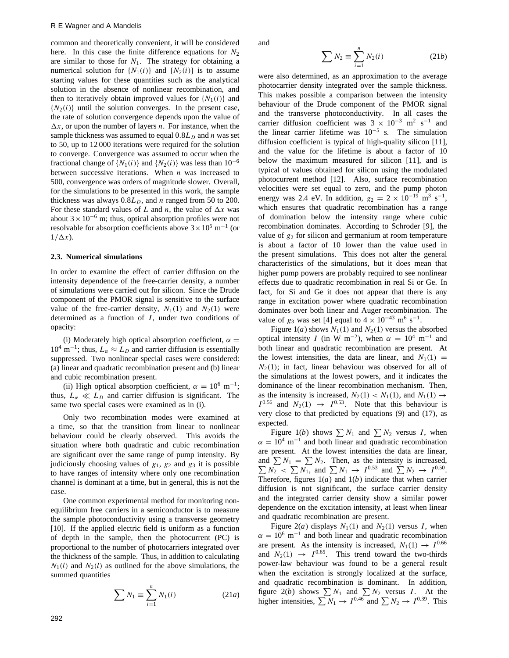common and theoretically convenient, it will be considered here. In this case the finite difference equations for  $N_2$ are similar to those for  $N_1$ . The strategy for obtaining a numerical solution for  $\{N_1(i)\}$  and  $\{N_2(i)\}$  is to assume starting values for these quantities such as the analytical solution in the absence of nonlinear recombination, and then to iteratively obtain improved values for  $\{N_1(i)\}\$  and  ${N_2(i)}$  until the solution converges. In the present case, the rate of solution convergence depends upon the value of  $\Delta x$ , or upon the number of layers *n*. For instance, when the sample thickness was assumed to equal  $0.8L<sub>D</sub>$  and *n* was set to 50, up to 12 000 iterations were required for the solution to converge. Convergence was assumed to occur when the fractional change of  $\{N_1(i)\}$  and  $\{N_2(i)\}$  was less than 10<sup>-6</sup> between successive iterations. When *n* was increased to 500, convergence was orders of magnitude slower. Overall, for the simulations to be presented in this work, the sample thickness was always  $0.8L<sub>D</sub>$ , and *n* ranged from 50 to 200. For these standard values of *L* and *n*, the value of  $\Delta x$  was about  $3 \times 10^{-6}$  m; thus, optical absorption profiles were not resolvable for absorption coefficients above  $3 \times 10^5$  m<sup>-1</sup> (or  $1/\Delta x$ ).

#### **2.3. Numerical simulations**

In order to examine the effect of carrier diffusion on the intensity dependence of the free-carrier density, a number of simulations were carried out for silicon. Since the Drude component of the PMOR signal is sensitive to the surface value of the free-carrier density,  $N_1(1)$  and  $N_2(1)$  were determined as a function of  $I$ , under two conditions of opacity:

(i) Moderately high optical absorption coefficient,  $\alpha$  =  $10^4$  m<sup>-1</sup>; thus,  $L_\alpha \approx L_D$  and carrier diffusion is essentially suppressed. Two nonlinear special cases were considered: (a) linear and quadratic recombination present and (b) linear and cubic recombination present.

(ii) High optical absorption coefficient,  $\alpha = 10^6$  m<sup>-1</sup>; thus,  $L_{\alpha} \ll L_D$  and carrier diffusion is significant. The same two special cases were examined as in (i).

Only two recombination modes were examined at a time, so that the transition from linear to nonlinear behaviour could be clearly observed. This avoids the situation where both quadratic and cubic recombination are significant over the same range of pump intensity. By judiciously choosing values of  $g_1$ ,  $g_2$  and  $g_3$  it is possible to have ranges of intensity where only one recombination channel is dominant at a time, but in general, this is not the case.

One common experimental method for monitoring nonequilibrium free carriers in a semiconductor is to measure the sample photoconductivity using a transverse geometry [10]. If the applied electric field is uniform as a function of depth in the sample, then the photocurrent (PC) is proportional to the number of photocarriers integrated over the thickness of the sample. Thus, in addition to calculating  $N_1(l)$  and  $N_2(l)$  as outlined for the above simulations, the summed quantities

$$
\sum N_1 \equiv \sum_{i=1}^n N_1(i) \tag{21a}
$$

and

$$
\sum N_2 \equiv \sum_{i=1}^n N_2(i) \tag{21b}
$$

were also determined, as an approximation to the average photocarrier density integrated over the sample thickness. This makes possible a comparison between the intensity behaviour of the Drude component of the PMOR signal and the transverse photoconductivity. In all cases the carrier diffusion coefficient was  $3 \times 10^{-3}$  m<sup>2</sup> s<sup>-1</sup> and the linear carrier lifetime was 10<sup>−</sup><sup>5</sup> s. The simulation diffusion coefficient is typical of high-quality silicon [11], and the value for the lifetime is about a factor of 10 below the maximum measured for silicon [11], and is typical of values obtained for silicon using the modulated photocurrent method [12]. Also, surface recombination velocities were set equal to zero, and the pump photon energy was 2.4 eV. In addition,  $g_2 = 2 \times 10^{-19}$  m<sup>3</sup> s<sup>-1</sup>, which ensures that quadratic recombination has a range of domination below the intensity range where cubic recombination dominates. According to Schroder [9], the value of *<sup>g</sup>*<sup>2</sup> for silicon and germanium at room temperature is about a factor of 10 lower than the value used in the present simulations. This does not alter the general characteristics of the simulations, but it does mean that higher pump powers are probably required to see nonlinear effects due to quadratic recombination in real Si or Ge. In fact, for Si and Ge it does not appear that there is any range in excitation power where quadratic recombination dominates over both linear and Auger recombination. The value of  $g_3$  was set [4] equal to  $4 \times 10^{-43}$  m<sup>6</sup> s<sup>-1</sup>.

Figure 1(*a*) shows  $N_1(1)$  and  $N_2(1)$  versus the absorbed optical intensity *I* (in W m<sup>-2</sup>), when  $\alpha = 10^4$  m<sup>-1</sup> and both linear and quadratic recombination are present. At the lowest intensities, the data are linear, and  $N_1(1)$  =  $N_2(1)$ ; in fact, linear behaviour was observed for all of the simulations at the lowest powers, and it indicates the dominance of the linear recombination mechanism. Then, as the intensity is increased,  $N_2(1) < N_1(1)$ , and  $N_1(1) \rightarrow$ <br> $I^{0.56}$  and  $N_2(1) \rightarrow I^{0.53}$ . Note that this behaviour is  $I^{0.56}$  and  $N_2(1) \rightarrow I^{0.53}$ . Note that this behaviour is<br>very close to that predicted by equations (9) and (17) as very close to that predicted by equations (9) and (17), as expected.

Figure 1(*b*) shows  $\sum N_1$  and  $\sum N_2$  versus *I*, when  $\alpha = 10^4$  m<sup>-1</sup> and both linear and quadratic recombination are present. At the lowest intensities the data are linear, and  $\sum N_1 = \sum N_2$ . Then, as the intensity is increased,<br> $\sum N_2 < \sum N_1$ , and  $\sum N_1 \rightarrow I^{0.53}$  and  $\sum N_2 \rightarrow I^{0.50}$ .  $N_2 \leq \sum N_1$ , and  $\sum N_1 \to I^{0.53}$  and  $\sum N_2 \to I^{0.50}$ . Therefore, figures  $1(a)$  and  $1(b)$  indicate that when carrier diffusion is not significant, the surface carrier density and the integrated carrier density show a similar power dependence on the excitation intensity, at least when linear and quadratic recombination are present.

Figure 2(*a*) displays  $N_1(1)$  and  $N_2(1)$  versus *I*, when  $\alpha = 10^6$  m<sup>-1</sup> and both linear and quadratic recombination are present. As the intensity is increased,  $N_1(1) \rightarrow I^{0.66}$ and  $N_2(1) \rightarrow I^{0.65}$ . This trend toward the two-thirds power-law behaviour was found to be a general result when the excitation is strongly localized at the surface, and quadratic recombination is dominant. In addition, figure 2(*b*) shows  $\sum N_1$  and  $\sum N_2$  versus *I*. At the higher intensities  $\sum N_1 \rightarrow 1^{0.46}$  and  $\sum N_2 \rightarrow 1^{0.39}$  This higher intensities,  $\sum N_1 \rightarrow I^{0.46}$  and  $\sum N_2 \rightarrow I^{0.39}$ . This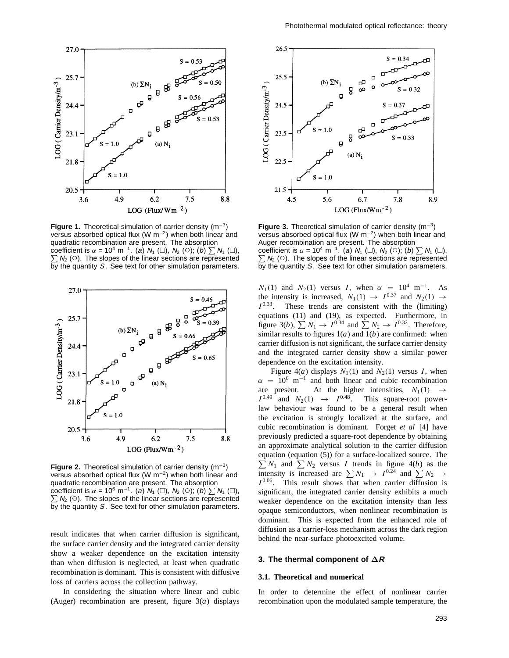

**Figure 1.** Theoretical simulation of carrier density (m<sup>−</sup>3) versus absorbed optical flux (W m<sup>−</sup>2) when both linear and quadratic recombination are present. The absorption coefficient is  $\alpha = 10^4$  m<sup>-1</sup>. (a) N<sub>1</sub> ( $\square$ ), N<sub>2</sub> ( $\square$ ); (b)  $\sum N_1$  ( $\square$ ),  $\sum N_2$  ( $\square$ ), N<sub>2</sub> ( $\square$ ), N<sub>2</sub> ( $\square$ ), N<sub>1</sub> ( $\square$ ),  $\square$ ),  $\square$ ),  $\square$  $\sum N_2$  (○). The slopes of the linear sections are represented by the quantity S. See text for other simulation parameters.



**Figure 2.** Theoretical simulation of carrier density (m<sup>−</sup>3) versus absorbed optical flux (W m<sup>−</sup>2) when both linear and quadratic recombination are present. The absorption coefficient is  $\alpha$  = 10<sup>6</sup> m<sup>-1</sup>. (a) N<sub>1</sub> ( $\square$ ), N<sub>2</sub> ( $\square$ ); (b)  $\sum N_1$  ( $\square$ ),  $\sum N_2$  ( $\square$ ), N<sub>2</sub> ( $\square$ ), N<sub>2</sub> ( $\square$ ), N<sub>1</sub> ( $\square$ ),  $\square$ ),  $\square$  $\sum N_2$  (○). The slopes of the linear sections are represented by the quantity S. See text for other simulation parameters.

result indicates that when carrier diffusion is significant, the surface carrier density and the integrated carrier density show a weaker dependence on the excitation intensity than when diffusion is neglected, at least when quadratic recombination is dominant. This is consistent with diffusive loss of carriers across the collection pathway.

In considering the situation where linear and cubic (Auger) recombination are present, figure 3(*a*) displays



**Figure 3.** Theoretical simulation of carrier density (m<sup>−</sup>3) versus absorbed optical flux (W m<sup>−</sup>2) when both linear and Auger recombination are present. The absorption coefficient is  $\alpha = 10^4$  m<sup>-1</sup>. (a) N<sub>1</sub> ( $\Box$ ), N<sub>2</sub> ( $\Diamond$ ); (b)  $\sum N_1$  ( $\Box$ ),  $\sum$  N<sub>1</sub> ( $\Box$ ),  $\sum$  N<sub>1</sub> ( $\Box$ ),  $\sum$  N<sub>1</sub> ( $\Box$ ),  $\sum$  N<sub>1</sub> ( $\Box$ ),  $\sum$  $\sum N_2$  (○). The slopes of the linear sections are represented by the quantity S. See text for other simulation parameters.

 $N_1(1)$  and  $N_2(1)$  versus *I*, when  $\alpha = 10^4$  m<sup>-1</sup>. As the intensity is increased,  $N_1(1) \rightarrow I^{0.37}$  and  $N_2(1) \rightarrow$ *<sup>I</sup>* <sup>0</sup>*.*33. These trends are consistent with the (limiting) equations (11) and (19), as expected. Furthermore, in figure 3(*b*),  $\sum N_1 \rightarrow I^{0.34}$  and  $\sum N_2 \rightarrow I^{0.32}$ . Therefore, similar results to figures 1(*a*) and 1(*b*) are confirmed; when similar results to figures  $1(a)$  and  $1(b)$  are confirmed: when carrier diffusion is not significant, the surface carrier density and the integrated carrier density show a similar power dependence on the excitation intensity.

Figure 4(*a*) displays  $N_1(1)$  and  $N_2(1)$  versus *I*, when  $\alpha = 10^6$  m<sup>-1</sup> and both linear and cubic recombination<br>are present. At the higher intensities,  $N_1(1) \rightarrow$ are present. At the higher intensities,  $N_1(1) \rightarrow I^{0.49}$  and  $N_2(1) \rightarrow I^{0.48}$  This square-root power- $I^{0.49}$  and  $N_2(1) \rightarrow I^{0.48}$ . This square-root power-<br>law behaviour was found to be a general result when law behaviour was found to be a general result when the excitation is strongly localized at the surface, and cubic recombination is dominant. Forget *et al* [4] have previously predicted a square-root dependence by obtaining an approximate analytical solution to the carrier diffusion equation (equation (5)) for a surface-localized source. The  $\sum N_1$  and  $\sum N_2$  versus *I* trends in figure 4(*b*) as the intensity is increased are  $\sum N_i \rightarrow I^{0.24}$  and  $\sum N_2 \rightarrow I^{0.25}$ intensity is increased are  $\sum N_1 \rightarrow I^{0.24}$  and  $\sum N_2 \rightarrow I^{0.06}$  This result shows that when carrier diffusion is *<sup>I</sup>* <sup>0</sup>*.*06. This result shows that when carrier diffusion is significant, the integrated carrier density exhibits a much weaker dependence on the excitation intensity than less opaque semiconductors, when nonlinear recombination is dominant. This is expected from the enhanced role of diffusion as a carrier-loss mechanism across the dark region behind the near-surface photoexcited volume.

# **3. The thermal component of ∆R**

# **3.1. Theoretical and numerical**

In order to determine the effect of nonlinear carrier recombination upon the modulated sample temperature, the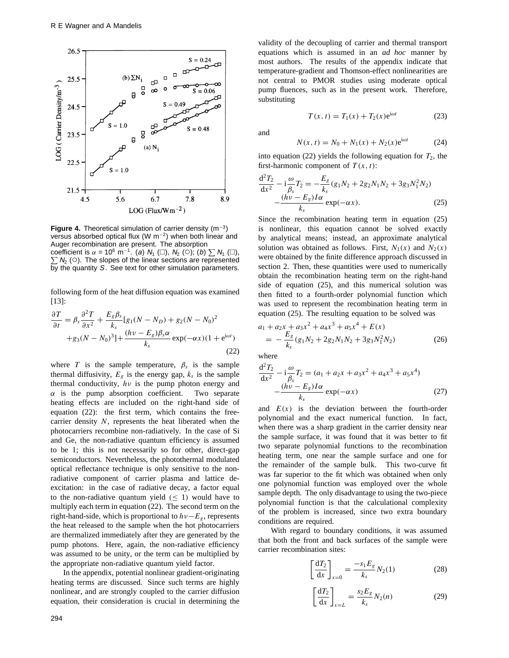

**Figure 4.** Theoretical simulation of carrier density (m<sup>−</sup>3) versus absorbed optical flux (W m<sup>−</sup>2) when both linear and Auger recombination are present. The absorption coefficient is  $\alpha = 10^6$  m<sup>-1</sup>. (a) N<sub>1</sub> ( $\Box$ ), N<sub>2</sub> ( $\bigcirc$ ); (b)  $\sum N_1$  ( $\Box$ ),  $\sum$  ( $\bigcirc$ ); (b)  $\sum N_1$  ( $\Box$ ),  $\sum$  ( $\bigcirc$ ); (b)  $\Gamma$  $\sum N_2$  (○). The slopes of the linear sections are represented  $\overline{b}$ y the quantity S. See text for other simulation parameters.

following form of the heat diffusion equation was examined [13]:

$$
\frac{\partial T}{\partial t} = \beta_s \frac{\partial^2 T}{\partial x^2} + \frac{E_g \beta_s}{k_s} [g_1(N - N_D) + g_2(N - N_0)^2
$$
  
+ 
$$
g_3(N - N_0)^3] + \frac{(h\nu - E_g)\beta_s \alpha}{k_s} \exp(-\alpha x)(1 + e^{i\omega t})
$$
(22)

where *T* is the sample temperature,  $\beta_s$  is the sample thermal diffusivity,  $E_g$  is the energy gap,  $k_s$  is the sample thermal conductivity,  $h\nu$  is the pump photon energy and  $\alpha$  is the pump absorption coefficient. Two separate  $\alpha$  is the pump absorption coefficient. heating effects are included on the right-hand side of equation (22): the first term, which contains the freecarrier density *N*, represents the heat liberated when the photocarriers recombine non-radiatively. In the case of Si and Ge, the non-radiative quantum efficiency is assumed to be 1; this is not necessarily so for other, direct-gap semiconductors. Nevertheless, the photothermal modulated optical reflectance technique is only sensitive to the nonradiative component of carrier plasma and lattice deexcitation: in the case of radiative decay, a factor equal to the non-radiative quantum yield  $(\leq 1)$  would have to multiply each term in equation (22). The second term on the right-hand-side, which is proportional to *hν*−*Eg*, represents the heat released to the sample when the hot photocarriers are thermalized immediately after they are generated by the pump photons. Here, again, the non-radiative efficiency was assumed to be unity, or the term can be multiplied by the appropriate non-radiative quantum yield factor.

In the appendix, potential nonlinear gradient-originating heating terms are discussed. Since such terms are highly nonlinear, and are strongly coupled to the carrier diffusion equation, their consideration is crucial in determining the validity of the decoupling of carrier and thermal transport equations which is assumed in an *ad hoc* manner by most authors. The results of the appendix indicate that temperature-gradient and Thomson-effect nonlinearities are not central to PMOR studies using moderate optical pump fluences, such as in the present work. Therefore, substituting

$$
T(x, t) = T_1(x) + T_2(x)e^{i\omega t}
$$
 (23)

and

$$
N(x, t) = N_0 + N_1(x) + N_2(x)e^{i\omega t}
$$
 (24)

into equation (22) yields the following equation for  $T_2$ , the first-harmonic component of *T (x, t)*:

$$
\frac{d^2 T_2}{dx^2} - i \frac{\omega}{\beta_s} T_2 = -\frac{E_g}{k_s} (g_1 N_2 + 2g_2 N_1 N_2 + 3g_3 N_1^2 N_2) \n- \frac{(h\nu - E_g)I\alpha}{k_s} \exp(-\alpha x).
$$
\n(25)

Since the recombination heating term in equation (25) is nonlinear, this equation cannot be solved exactly by analytical means; instead, an approximate analytical solution was obtained as follows. First,  $N_1(x)$  and  $N_2(x)$ were obtained by the finite difference approach discussed in section 2. Then, these quantities were used to numerically obtain the recombination heating term on the right-hand side of equation (25), and this numerical solution was then fitted to a fourth-order polynomial function which was used to represent the recombination heating term in equation (25). The resulting equation to be solved was

$$
a_1 + a_2x + a_3x^2 + a_4x^3 + a_5x^4 + E(x)
$$
  
=  $-\frac{E_g}{k_s}(g_1N_2 + 2g_2N_1N_2 + 3g_3N_1^2N_2)$  (26)

where

$$
\frac{d^2 T_2}{dx^2} - i \frac{\omega}{\beta_s} T_2 = (a_1 + a_2 x + a_3 x^2 + a_4 x^3 + a_5 x^4) - \frac{(h\nu - E_g)I\alpha}{k_s} \exp(-\alpha x)
$$
\n(27)

and  $E(x)$  is the deviation between the fourth-order<br>
polynomial and the exact numerical function. In fact polynomial and the exact numerical function. In fact, when there was a sharp gradient in the carrier density near the sample surface, it was found that it was better to fit two separate polynomial functions to the recombination heating term, one near the sample surface and one for the remainder of the sample bulk. This two-curve fit was far superior to the fit which was obtained when only one polynomial function was employed over the whole sample depth. The only disadvantage to using the two-piece polynomial function is that the calculational complexity of the problem is increased, since two extra boundary conditions are required.

With regard to boundary conditions, it was assumed that both the front and back surfaces of the sample were carrier recombination sites:

$$
\left[\frac{\mathrm{d}T_2}{\mathrm{d}x}\right]_{x=0} = \frac{-s_1 E_g}{k_s} N_2(1) \tag{28}
$$

$$
\left[\frac{\mathrm{d}T_2}{\mathrm{d}x}\right]_{x=L} = \frac{s_2 E_g}{k_s} N_2(n) \tag{29}
$$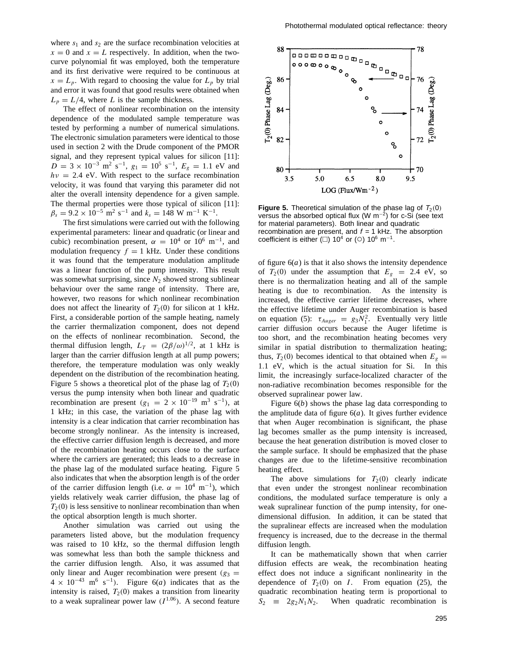where  $s_1$  and  $s_2$  are the surface recombination velocities at  $x = 0$  and  $x = L$  respectively. In addition, when the twocurve polynomial fit was employed, both the temperature and its first derivative were required to be continuous at  $x = L_p$ . With regard to choosing the value for  $L_p$  by trial and error it was found that good results were obtained when  $L_p = L/4$ , where *L* is the sample thickness.

The effect of nonlinear recombination on the intensity dependence of the modulated sample temperature was tested by performing a number of numerical simulations. The electronic simulation parameters were identical to those used in section 2 with the Drude component of the PMOR signal, and they represent typical values for silicon [11]:  $D = 3 \times 10^{-3}$  m<sup>2</sup> s<sup>-1</sup>,  $g_1 = 10^5$  s<sup>-1</sup>,  $E_g = 1.1$  eV and  $hv = 2.4$  eV. With respect to the surface recombination velocity, it was found that varying this parameter did not alter the overall intensity dependence for a given sample. The thermal properties were those typical of silicon [11]:  $\beta_s = 9.2 \times 10^{-5}$  m<sup>2</sup> s<sup>-1</sup> and  $k_s = 148$  W m<sup>-1</sup> K<sup>-1</sup>.

The first simulations were carried out with the following experimental parameters: linear and quadratic (or linear and cubic) recombination present,  $\alpha = 10^4$  or 10<sup>6</sup> m<sup>-1</sup>, and modulation frequency  $f = 1$  kHz. Under these conditions it was found that the temperature modulation amplitude was a linear function of the pump intensity. This result was somewhat surprising, since  $N_2$  showed strong sublinear behaviour over the same range of intensity. There are, however, two reasons for which nonlinear recombination does not affect the linearity of  $T_2(0)$  for silicon at 1 kHz. First, a considerable portion of the sample heating, namely the carrier thermalization component, does not depend on the effects of nonlinear recombination. Second, the thermal diffusion length,  $L_T = (2\beta/\omega)^{1/2}$ , at 1 kHz is larger than the carrier diffusion length at all pump powers; therefore, the temperature modulation was only weakly dependent on the distribution of the recombination heating. Figure 5 shows a theoretical plot of the phase lag of  $T_2(0)$ versus the pump intensity when both linear and quadratic recombination are present  $(g_1 = 2 \times 10^{-19} \text{ m}^3 \text{ s}^{-1})$ , at 1 kHz; in this case, the variation of the phase lag with intensity is a clear indication that carrier recombination has become strongly nonlinear. As the intensity is increased, the effective carrier diffusion length is decreased, and more of the recombination heating occurs close to the surface where the carriers are generated; this leads to a decrease in the phase lag of the modulated surface heating. Figure 5 also indicates that when the absorption length is of the order of the carrier diffusion length (i.e.  $\alpha = 10^4$  m<sup>-1</sup>), which yields relatively weak carrier diffusion, the phase lag of  $T<sub>2</sub>(0)$  is less sensitive to nonlinear recombination than when the optical absorption length is much shorter.

Another simulation was carried out using the parameters listed above, but the modulation frequency was raised to 10 kHz, so the thermal diffusion length was somewhat less than both the sample thickness and the carrier diffusion length. Also, it was assumed that only linear and Auger recombination were present  $(g_3 =$  $4 \times 10^{-43}$  m<sup>6</sup> s<sup>-1</sup>). Figure 6(*a*) indicates that as the intensity is raised,  $T_2(0)$  makes a transition from linearity intensity is raised,  $T_2(0)$  makes a transition from linearity<br>to a weak supralinear power law  $(I^{1.06})$ . A second feature to a weak supralinear power law *(I* <sup>1</sup>*.*<sup>06</sup>*)*. A second feature



**Figure 5.** Theoretical simulation of the phase lag of  $T_2(0)$ versus the absorbed optical flux (W m<sup>−</sup>2) for c-Si (see text for material parameters). Both linear and quadratic recombination are present, and  $f = 1$  kHz. The absorption coefficient is either ( $\Box$ ) 10<sup>4</sup> or ( $\odot$ ) 10<sup>6</sup> m<sup>-1</sup>.

of figure  $6(a)$  is that it also shows the intensity dependence of  $T_2(0)$  under the assumption that  $E_g = 2.4$  eV, so there is no thermalization heating and all of the sample heating is due to recombination. As the intensity is increased, the effective carrier lifetime decreases, where the effective lifetime under Auger recombination is based on equation (5):  $\tau_{Auger} = g_3 N_1^2$ . Eventually very little carrier diffusion occurs because the Auger lifetime is carrier diffusion occurs because the Auger lifetime is too short, and the recombination heating becomes very similar in spatial distribution to thermalization heating; thus,  $T_2(0)$  becomes identical to that obtained when  $E_g =$ <sup>1</sup>*.*1 eV, which is the actual situation for Si. In this limit, the increasingly surface-localized character of the non-radiative recombination becomes responsible for the observed supralinear power law.

Figure 6(*b*) shows the phase lag data corresponding to the amplitude data of figure  $6(a)$ . It gives further evidence that when Auger recombination is significant, the phase lag becomes smaller as the pump intensity is increased, because the heat generation distribution is moved closer to the sample surface. It should be emphasized that the phase changes are due to the lifetime-sensitive recombination heating effect.

The above simulations for  $T_2(0)$  clearly indicate that even under the strongest nonlinear recombination conditions, the modulated surface temperature is only a weak supralinear function of the pump intensity, for onedimensional diffusion. In addition, it can be stated that the supralinear effects are increased when the modulation frequency is increased, due to the decrease in the thermal diffusion length.

It can be mathematically shown that when carrier diffusion effects are weak, the recombination heating effect does not induce a significant nonlinearity in the dependence of  $T_2(0)$  on *I*. From equation (25), the quadratic recombination heating term is proportional to  $S_2 \equiv 2g_2N_1N_2$ . When quadratic recombination is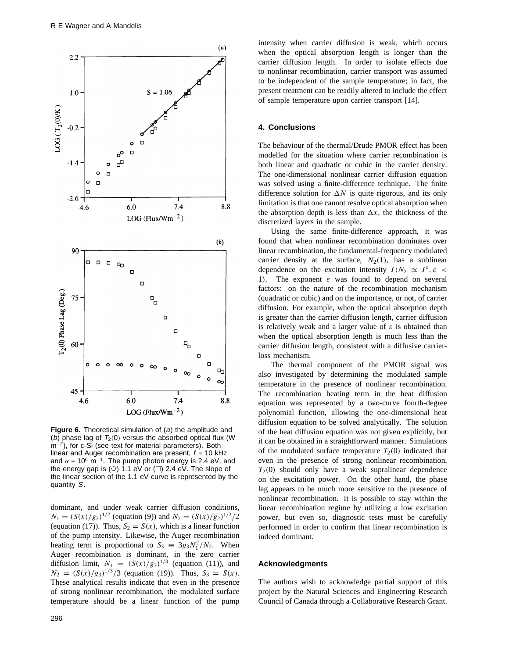

**Figure 6.** Theoretical simulation of (a) the amplitude and (b) phase lag of  $T_2(0)$  versus the absorbed optical flux (W) m<sup>−2</sup>), for c-Si (see text for material parameters). Both linear and Auger recombination are present,  $f = 10$  kHz and  $\alpha = 10^6$  m<sup>-1</sup>. The pump photon energy is 2.4 eV, and the energy gap is ( $\circ$ ) 1.1 eV or ( $\Box$ ) 2.4 eV. The slope of the linear section of the 1.1 eV curve is represented by the quantity S.

dominant, and under weak carrier diffusion conditions,  $N_1 = (S(x)/g_2)^{1/2}$  (equation (9)) and  $N_2 = (S(x)/g_2)^{1/2}/2$ (equation (17)). Thus,  $S_2 = S(x)$ , which is a linear function of the pump intensity. Likewise, the Auger recombination heating term is proportional to  $S_3 \equiv 3g_3N_1^2/N_2$ . When Auger recombination is dominant, in the zero carrier diffusion limit,  $N_1 = (S(x)/g_3)^{1/3}$  (equation (11)), and  $N_2 = (S(x)/g_3)^{1/3}/3$  (equation (19)). Thus,  $S_3 = S(x)$ . These analytical results indicate that even in the presence of strong nonlinear recombination, the modulated surface temperature should be a linear function of the pump

intensity when carrier diffusion is weak, which occurs when the optical absorption length is longer than the carrier diffusion length. In order to isolate effects due to nonlinear recombination, carrier transport was assumed to be independent of the sample temperature; in fact, the present treatment can be readily altered to include the effect of sample temperature upon carrier transport [14].

## **4. Conclusions**

The behaviour of the thermal/Drude PMOR effect has been modelled for the situation where carrier recombination is both linear and quadratic or cubic in the carrier density. The one-dimensional nonlinear carrier diffusion equation was solved using a finite-difference technique. The finite difference solution for  $\Delta N$  is quite rigorous, and its only limitation is that one cannot resolve optical absorption when the absorption depth is less than  $\Delta x$ , the thickness of the discretized layers in the sample.

Using the same finite-difference approach, it was found that when nonlinear recombination dominates over linear recombination, the fundamental-frequency modulated carrier density at the surface,  $N_2(1)$ , has a sublinear dependence on the excitation intensity  $I(N_2 \propto I^{\varepsilon}, \varepsilon$ <sup>1</sup>*)*. The exponent *ε* was found to depend on several factors: on the nature of the recombination mechanism (quadratic or cubic) and on the importance, or not, of carrier diffusion. For example, when the optical absorption depth is greater than the carrier diffusion length, carrier diffusion is relatively weak and a larger value of *ε* is obtained than when the optical absorption length is much less than the carrier diffusion length, consistent with a diffusive carrierloss mechanism.

The thermal component of the PMOR signal was also investigated by determining the modulated sample temperature in the presence of nonlinear recombination. The recombination heating term in the heat diffusion equation was represented by a two-curve fourth-degree polynomial function, allowing the one-dimensional heat diffusion equation to be solved analytically. The solution of the heat diffusion equation was not given explicitly, but it can be obtained in a straightforward manner. Simulations of the modulated surface temperature  $T_2(0)$  indicated that even in the presence of strong nonlinear recombination,  $T_2(0)$  should only have a weak supralinear dependence on the excitation power. On the other hand, the phase lag appears to be much more sensitive to the presence of nonlinear recombination. It is possible to stay within the linear recombination regime by utilizing a low excitation power, but even so, diagnostic tests must be carefully performed in order to confirm that linear recombination is indeed dominant.

## **Acknowledgments**

The authors wish to acknowledge partial support of this project by the Natural Sciences and Engineering Research Council of Canada through a Collaborative Research Grant.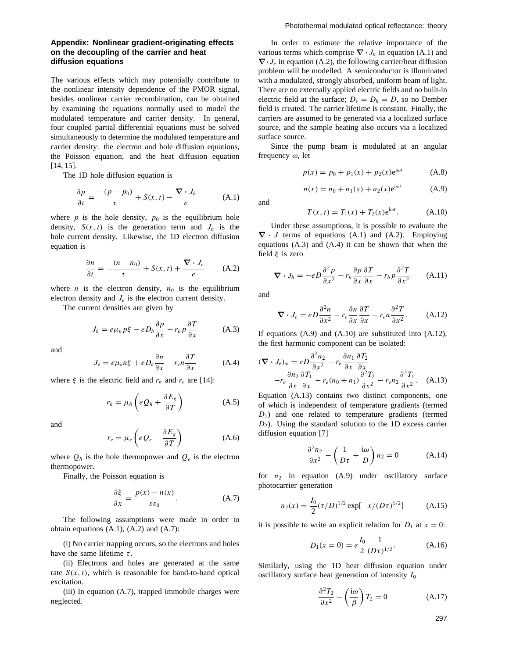# **Appendix: Nonlinear gradient-originating effects on the decoupling of the carrier and heat diffusion equations**

The various effects which may potentially contribute to the nonlinear intensity dependence of the PMOR signal, besides nonlinear carrier recombination, can be obtained by examining the equations normally used to model the modulated temperature and carrier density. In general, four coupled partial differential equations must be solved simultaneously to determine the modulated temperature and carrier density: the electron and hole diffusion equations, the Poisson equation, and the heat diffusion equation [14, 15].

The 1D hole diffusion equation is

$$
\frac{\partial p}{\partial t} = \frac{-(p - p_0)}{\tau} + S(x, t) - \frac{\nabla \cdot J_h}{e}
$$
 (A.1)

where  $p$  is the hole density,  $p_0$  is the equilibrium hole density,  $S(x, t)$  is the generation term and  $J_h$  is the hole current density. Likewise, the 1D electron diffusion equation is

$$
\frac{\partial n}{\partial t} = \frac{-(n-n_0)}{\tau} + S(x, t) + \frac{\nabla \cdot J_e}{e}
$$
 (A.2)

where *n* is the electron density,  $n_0$  is the equilibrium electron density and  $J_e$  is the electron current density.

The current densities are given by

$$
J_h = e\mu_h p\xi - eD_h \frac{\partial p}{\partial x} - r_h p \frac{\partial T}{\partial x}
$$
 (A.3)

and

$$
J_e = e\mu_e n \xi + eD_e \frac{\partial n}{\partial x} - r_e n \frac{\partial T}{\partial x}
$$
 (A.4)

where  $\xi$  is the electric field and  $r_h$  and  $r_e$  are [14]:

$$
r_h = \mu_h \left( e Q_h + \frac{\partial E_g}{\partial T} \right) \tag{A.5}
$$

and

$$
r_e = \mu_e \left( e Q_e - \frac{\partial E_g}{\partial T} \right) \tag{A.6}
$$

where  $Q_h$  is the hole thermopower and  $Q_e$  is the electron thermopower.

Finally, the Poisson equation is

$$
\frac{\partial \xi}{\partial x} = \frac{p(x) - n(x)}{\varepsilon \varepsilon_0}.
$$
 (A.7)

The following assumptions were made in order to obtain equations (A.1), (A.2) and (A.7):

(i) No carrier trapping occurs, so the electrons and holes have the same lifetime *τ* .

(ii) Electrons and holes are generated at the same rate  $S(x, t)$ , which is reasonable for band-to-band optical excitation.

(iii) In equation (A.7), trapped immobile charges were neglected.

In order to estimate the relative importance of the various terms which comprise  $\nabla \cdot J_h$  in equation (A.1) and *∇·Je* in equation (A.2), the following carrier/heat diffusion problem will be modelled. A semiconductor is illuminated with a modulated, strongly absorbed, uniform beam of light. There are no externally applied electric fields and no built-in electric field at the surface;  $D_e = D_h = D$ , so no Dember field is created. The carrier lifetime is constant. Finally, the carriers are assumed to be generated via a localized surface source, and the sample heating also occurs via a localized surface source.

Since the pump beam is modulated at an angular frequency *ω*, let

$$
p(x) = p_0 + p_1(x) + p_2(x)e^{i\omega t}
$$
 (A.8)

$$
n(x) = n_0 + n_1(x) + n_2(x)e^{i\omega t}
$$
 (A.9)

and

$$
T(x, t) = T_1(x) + T_2(x)e^{i\omega t}.
$$
 (A.10)

Under these assumptions, it is possible to evaluate the *∇ · J* terms of equations (A.1) and (A.2). Employing equations (A.3) and (A.4) it can be shown that when the field *ξ* is zero

$$
\nabla \cdot J_h = -eD \frac{\partial^2 p}{\partial x^2} - r_h \frac{\partial p}{\partial x} \frac{\partial T}{\partial x} - r_h p \frac{\partial^2 T}{\partial x^2}
$$
 (A.11)

and

$$
\nabla \cdot J_e = eD \frac{\partial^2 n}{\partial x^2} - r_e \frac{\partial n}{\partial x} \frac{\partial T}{\partial x} - r_e n \frac{\partial^2 T}{\partial x^2}.
$$
 (A.12)

If equations (A.9) and (A.10) are substituted into (A.12), the first harmonic component can be isolated:

$$
(\nabla \cdot J_e)_{\omega} = e D \frac{\partial^2 n_2}{\partial x^2} - r_e \frac{\partial n_1}{\partial x} \frac{\partial T_2}{\partial x}
$$
  
\n
$$
-r_e \frac{\partial n_2}{\partial x} \frac{\partial T_1}{\partial x} - r_e (n_0 + n_1) \frac{\partial^2 T_2}{\partial x^2} - r_e n_2 \frac{\partial^2 T_1}{\partial x^2}.
$$
 (A.13)  
\nEquation (A.13) contains two distinct components, one

of which is independent of temperature gradients (termed *D*<sub>1</sub>) and one related to temperature gradients (termed *<sup>D</sup>*2). Using the standard solution to the 1D excess carrier diffusion equation [7]

$$
\frac{\partial^2 n_2}{\partial x^2} - \left(\frac{1}{D\tau} + \frac{i\omega}{D}\right) n_2 = 0 \tag{A.14}
$$

for  $n_2$  in equation  $(A.9)$  under oscillatory surface photocarrier generation

$$
n_2(x) = \frac{I_0}{2} (\tau/D)^{1/2} \exp[-x/(D\tau)^{1/2}] \tag{A.15}
$$

it is possible to write an explicit relation for  $D_1$  at  $x = 0$ :

$$
D_1(x=0) = e^{\frac{I_0}{2}} \frac{1}{(Dt)^{1/2}}.
$$
 (A.16)

Similarly, using the 1D heat diffusion equation under oscillatory surface heat generation of intensity  $I_0$ 

$$
\frac{\partial^2 T_2}{\partial x^2} - \left(\frac{i\omega}{\beta}\right) T_2 = 0 \tag{A.17}
$$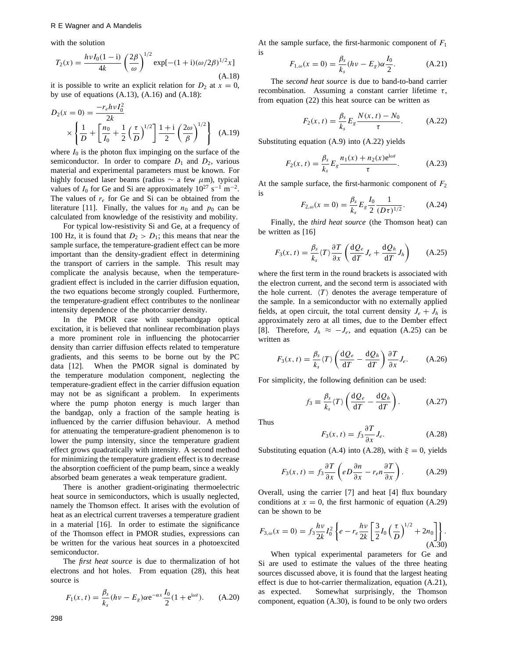with the solution

$$
T_2(x) = \frac{h\nu I_0(1 - i)}{4k} \left(\frac{2\beta}{\omega}\right)^{1/2} \exp[-(1 + i)(\omega/2\beta)^{1/2}x] \tag{A.18}
$$

it is possible to write an explicit relation for  $D_2$  at  $x = 0$ , by use of equations (A.13), (A.16) and (A.18):

$$
D_2(x=0) = \frac{-r_e h v I_0^2}{2k} \times \left\{ \frac{1}{D} + \left[ \frac{n_0}{I_0} + \frac{1}{2} \left( \frac{\tau}{D} \right)^{1/2} \right] \frac{1+i}{2} \left( \frac{2\omega}{\beta} \right)^{1/2} \right\}
$$
 (A.19)

where  $I_0$  is the photon flux impinging on the surface of the semiconductor. In order to compare  $D_1$  and  $D_2$ , various material and experimental parameters must be known. For highly focused laser beams (radius <sup>∼</sup> a few *µ*m), typical values of  $I_0$  for Ge and Si are approximately  $10^{27}$  s<sup>-1</sup> m<sup>-2</sup>. The values of  $r_e$  for Ge and Si can be obtained from the literature [11]. Finally, the values for  $n_0$  and  $p_0$  can be calculated from knowledge of the resistivity and mobility.

For typical low-resistivity Si and Ge, at a frequency of 100 Hz, it is found that  $D_2 > D_1$ ; this means that near the sample surface, the temperature-gradient effect can be more important than the density-gradient effect in determining the transport of carriers in the sample. This result may complicate the analysis because, when the temperaturegradient effect is included in the carrier diffusion equation, the two equations become strongly coupled. Furthermore, the temperature-gradient effect contributes to the nonlinear intensity dependence of the photocarrier density.

In the PMOR case with superbandgap optical excitation, it is believed that nonlinear recombination plays a more prominent role in influencing the photocarrier density than carrier diffusion effects related to temperature gradients, and this seems to be borne out by the PC data [12]. When the PMOR signal is dominated by the temperature modulation component, neglecting the temperature-gradient effect in the carrier diffusion equation may not be as significant a problem. In experiments where the pump photon energy is much larger than the bandgap, only a fraction of the sample heating is influenced by the carrier diffusion behaviour. A method for attenuating the temperature-gradient phenomenon is to lower the pump intensity, since the temperature gradient effect grows quadratically with intensity. A second method for minimizing the temperature gradient effect is to decrease the absorption coefficient of the pump beam, since a weakly absorbed beam generates a weak temperature gradient.

There is another gradient-originating thermoelectric heat source in semiconductors, which is usually neglected, namely the Thomson effect. It arises with the evolution of heat as an electrical current traverses a temperature gradient in a material [16]. In order to estimate the significance of the Thomson effect in PMOR studies, expressions can be written for the various heat sources in a photoexcited semiconductor.

The *first heat source* is due to thermalization of hot electrons and hot holes. From equation (28), this heat source is

$$
F_1(x, t) = \frac{\beta_s}{k_s} (h\nu - E_g) \alpha e^{-\alpha x} \frac{I_0}{2} (1 + e^{i\omega t}).
$$
 (A.20)

At the sample surface, the first-harmonic component of *<sup>F</sup>*<sup>1</sup> is

$$
F_{1,\omega}(x=0) = \frac{\beta_s}{k_s}(h\nu - E_g)\alpha \frac{I_0}{2}.
$$
 (A.21)

The *second heat source* is due to band-to-band carrier recombination. Assuming a constant carrier lifetime *τ* , from equation (22) this heat source can be written as

$$
F_2(x, t) = \frac{\beta_s}{k_s} E_g \frac{N(x, t) - N_0}{\tau}.
$$
 (A.22)

Substituting equation (A.9) into (A.22) yields

$$
F_2(x,t) = \frac{\beta_s}{k_s} E_g \frac{n_1(x) + n_2(x)e^{i\omega t}}{\tau}.
$$
 (A.23)

At the sample surface, the first-harmonic component of  $F_2$ is

$$
F_{2,\omega}(x=0) = \frac{\beta_s}{k_s} E_g \frac{I_0}{2} \frac{1}{(D\tau)^{1/2}}.
$$
 (A.24)  
Finally, the *third heat source* (the Thomson heat) can

be written as [16]

$$
F_3(x,t) = \frac{\beta_s}{k_s} \langle T \rangle \frac{\partial T}{\partial x} \left( \frac{\mathrm{d}Q_e}{\mathrm{d}T} J_e + \frac{\mathrm{d}Q_h}{\mathrm{d}T} J_h \right) \tag{A.25}
$$

where the first term in the round brackets is associated with the electron current, and the second term is associated with the hole current.  $\langle T \rangle$  denotes the average temperature of the sample. In a semiconductor with no externally applied fields, at open circuit, the total current density  $J_e + J_h$  is approximately zero at all times, due to the Dember effect [8]. Therefore,  $J_h \approx -J_e$ , and equation (A.25) can be written as

$$
F_3(x,t) = \frac{\beta_s}{k_s} \langle T \rangle \left( \frac{\mathrm{d}Q_e}{\mathrm{d}T} - \frac{\mathrm{d}Q_h}{\mathrm{d}T} \right) \frac{\partial T}{\partial x} J_e. \tag{A.26}
$$

For simplicity, the following definition can be used:

$$
f_3 \equiv \frac{\beta_s}{k_s} \langle T \rangle \left( \frac{\mathrm{d}Q_e}{\mathrm{d}T} - \frac{\mathrm{d}Q_h}{\mathrm{d}T} \right). \tag{A.27}
$$

Thus

$$
F_3(x,t) = f_3 \frac{\partial T}{\partial x} J_e.
$$
 (A.28)

Substituting equation (A.4) into (A.28), with  $\xi = 0$ , yields

$$
F_3(x,t) = f_3 \frac{\partial T}{\partial x} \left( eD \frac{\partial n}{\partial x} - r_e n \frac{\partial T}{\partial x} \right).
$$
 (A.29)

Overall, using the carrier [7] and heat [4] flux boundary conditions at  $x = 0$ , the first harmonic of equation (A.29) can be shown to be

$$
F_{3,\omega}(x=0) = f_3 \frac{h\nu}{2k} I_0^2 \left\{ e - r_e \frac{h\nu}{2k} \left[ \frac{3}{2} I_0 \left( \frac{\tau}{D} \right)^{1/2} + 2n_0 \right] \right\}.
$$
\n(A.30)

When typical experimental parameters for Ge and Si are used to estimate the values of the three heating sources discussed above, it is found that the largest heating effect is due to hot-carrier thermalization, equation (A.21), as expected. Somewhat surprisingly, the Thomson component, equation (A.30), is found to be only two orders